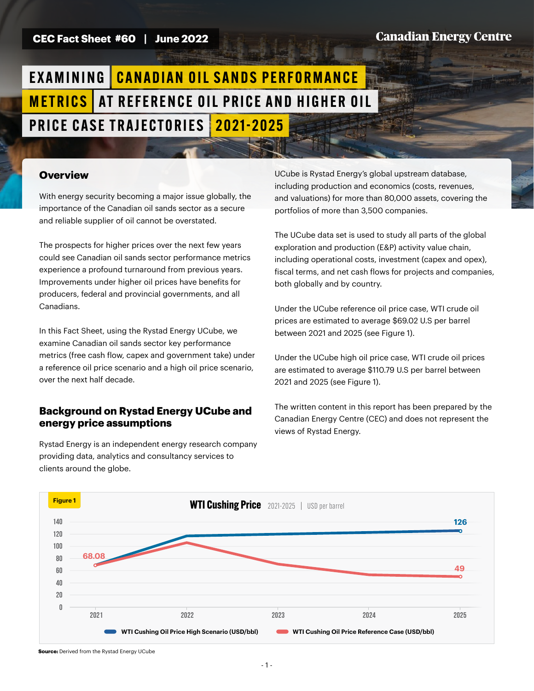### **CEC Fact Sheet #60 | June 2022**

## **Canadian Energy Centre**

# EXAMINING CANADIAN OIL SANDS PERFORMANCE **METRICS** AT REFERENCE OIL PRICE AND HIGHER OIL PRICE CASE TRAJECTORIES | 2021-2025

## **Overview**

With energy security becoming a major issue globally, the importance of the Canadian oil sands sector as a secure and reliable supplier of oil cannot be overstated.

The prospects for higher prices over the next few years could see Canadian oil sands sector performance metrics experience a profound turnaround from previous years. Improvements under higher oil prices have benefits for producers, federal and provincial governments, and all Canadians.

In this Fact Sheet, using the Rystad Energy UCube, we examine Canadian oil sands sector key performance metrics (free cash flow, capex and government take) under a reference oil price scenario and a high oil price scenario, over the next half decade.

#### **Background on Rystad Energy UCube and energy price assumptions**

Rystad Energy is an independent energy research company providing data, analytics and consultancy services to clients around the globe.

UCube is Rystad Energy's global upstream database, including production and economics (costs, revenues, and valuations) for more than 80,000 assets, covering the portfolios of more than 3,500 companies.

The UCube data set is used to study all parts of the global exploration and production (E&P) activity value chain, including operational costs, investment (capex and opex), fiscal terms, and net cash flows for projects and companies, both globally and by country.

Under the UCube reference oil price case, WTI crude oil prices are estimated to average \$69.02 U.S per barrel between 2021 and 2025 (see Figure 1).

Under the UCube high oil price case, WTI crude oil prices are estimated to average \$110.79 U.S per barrel between 2021 and 2025 (see Figure 1).

The written content in this report has been prepared by the Canadian Energy Centre (CEC) and does not represent the views of Rystad Energy.



**Source:** Derived from the Rystad Energy UCube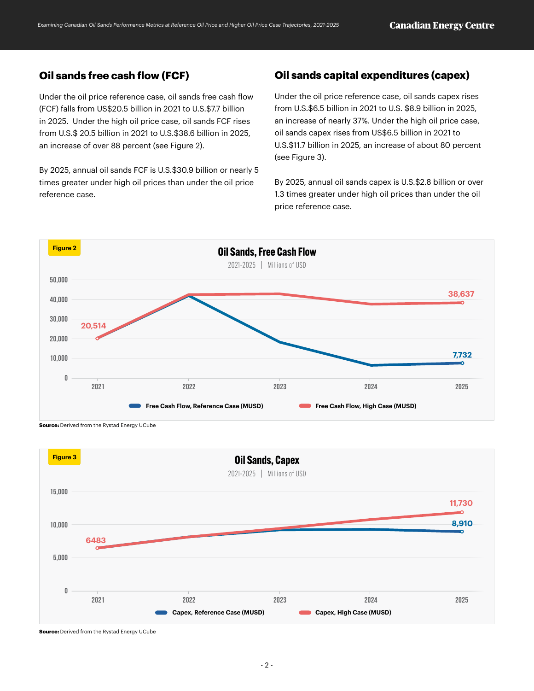# **Oil sands free cash flow (FCF)**

Under the oil price reference case, oil sands free cash flow (FCF) falls from US\$20.5 billion in 2021 to U.S.\$7.7 billion in 2025. Under the high oil price case, oil sands FCF rises from U.S.\$ 20.5 billion in 2021 to U.S.\$38.6 billion in 2025, an increase of over 88 percent (see Figure 2).

By 2025, annual oil sands FCF is U.S.\$30.9 billion or nearly 5 times greater under high oil prices than under the oil price reference case.

# **Oil sands capital expenditures (capex)**

Under the oil price reference case, oil sands capex rises from U.S.\$6.5 billion in 2021 to U.S. \$8.9 billion in 2025, an increase of nearly 37%. Under the high oil price case, oil sands capex rises from US\$6.5 billion in 2021 to U.S.\$11.7 billion in 2025, an increase of about 80 percent (see Figure 3).

By 2025, annual oil sands capex is U.S.\$2.8 billion or over 1.3 times greater under high oil prices than under the oil price reference case.



**Source:** Derived from the Rystad Energy UCube



**Source:** Derived from the Rystad Energy UCube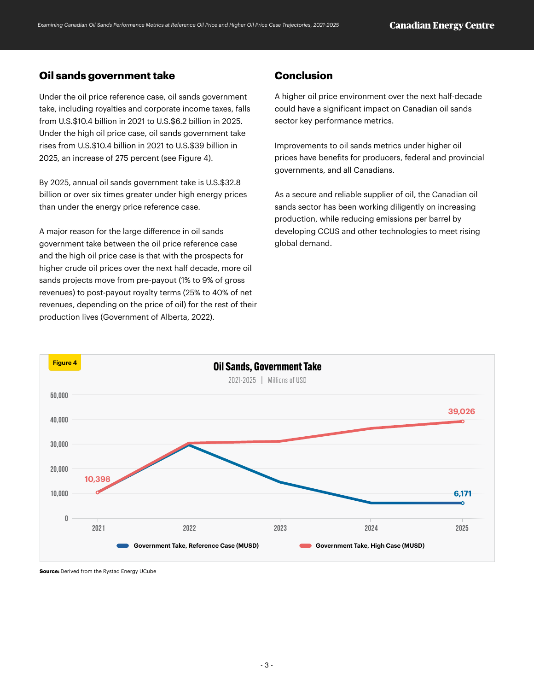# **Oil sands government take**

Under the oil price reference case, oil sands government take, including royalties and corporate income taxes, falls from U.S.\$10.4 billion in 2021 to U.S.\$6.2 billion in 2025. Under the high oil price case, oil sands government take rises from U.S.\$10.4 billion in 2021 to U.S.\$39 billion in 2025, an increase of 275 percent (see Figure 4).

By 2025, annual oil sands government take is U.S.\$32.8 billion or over six times greater under high energy prices than under the energy price reference case.

A major reason for the large difference in oil sands government take between the oil price reference case and the high oil price case is that with the prospects for higher crude oil prices over the next half decade, more oil sands projects move from pre-payout (1% to 9% of gross revenues) to post-payout royalty terms (25% to 40% of net revenues, depending on the price of oil) for the rest of their production lives (Government of Alberta, 2022).

## **Conclusion**

A higher oil price environment over the next half-decade could have a significant impact on Canadian oil sands sector key performance metrics.

Improvements to oil sands metrics under higher oil prices have benefits for producers, federal and provincial governments, and all Canadians.

As a secure and reliable supplier of oil, the Canadian oil sands sector has been working diligently on increasing production, while reducing emissions per barrel by developing CCUS and other technologies to meet rising global demand.



**Source:** Derived from the Rystad Energy UCube